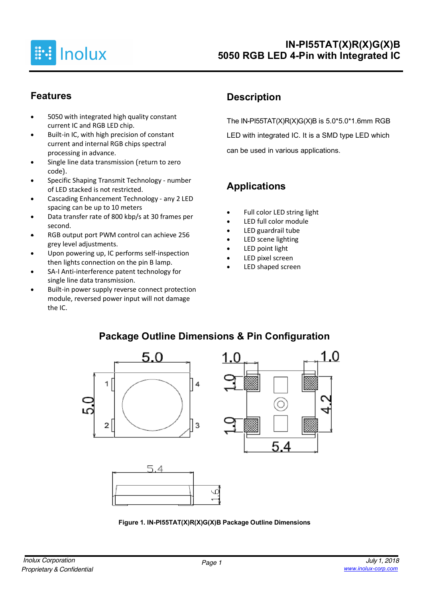

### **Features**

- 5050 with integrated high quality constant current IC and RGB LED chip.
- Built-in IC, with high precision of constant current and internal RGB chips spectral processing in advance.
- Single line data transmission (return to zero code).
- Specific Shaping Transmit Technology number of LED stacked is not restricted.
- Cascading Enhancement Technology any 2 LED spacing can be up to 10 meters
- Data transfer rate of 800 kbp/s at 30 frames per second.
- RGB output port PWM control can achieve 256 grey level adjustments.
- Upon powering up, IC performs self-inspection then lights connection on the pin B lamp.
- SA-I Anti-interference patent technology for single line data transmission.
- Built-in power supply reverse connect protection module, reversed power input will not damage the IC.

## **Description**

The IN-PI55TAT(X)R(X)G(X)B is  $5.0*5.0*1.6$ mm RGB LED with integrated IC. It is a SMD type LED which can be used in various applications.

1 በ

# **Applications**

- Full color LED string light
- LED full color module
- LED guardrail tube
- LED scene lighting
- LED point light
- LED pixel screen
- LED shaped screen



## **Package Outline Dimensions & Pin Configuration**

**Figure 1. IN-PI55TAT(X)R(X)G(X)B Package Outline Dimensions**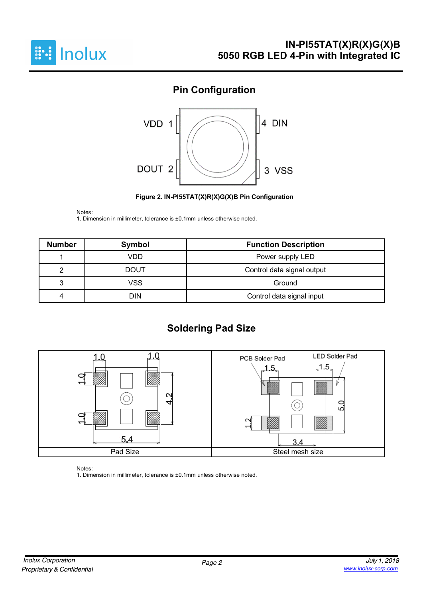

## **Pin Configuration**



**Figure 2. IN-PI55TAT(X)R(X)G(X)B Pin Configuration**

Notes:

1. Dimension in millimeter, tolerance is ±0.1mm unless otherwise noted.

| <b>Number</b>                           | Symbol      | <b>Function Description</b> |  |  |
|-----------------------------------------|-------------|-----------------------------|--|--|
| VDD<br>Power supply LED                 |             |                             |  |  |
|                                         | <b>DOUT</b> | Control data signal output  |  |  |
| VSS<br>ິ                                |             | Ground                      |  |  |
| <b>DIN</b><br>Control data signal input |             |                             |  |  |

## **Soldering Pad Size**



Notes:

1. Dimension in millimeter, tolerance is ±0.1mm unless otherwise noted.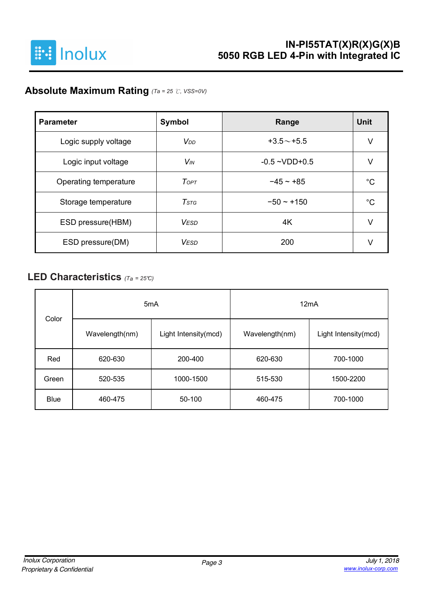

## **Absolute Maximum Rating** *(Ta = 25* ℃*, VSS=0V)*

| <b>Parameter</b>      | Symbol                 | Range              | Unit |
|-----------------------|------------------------|--------------------|------|
| Logic supply voltage  | <b>V</b> <sub>DD</sub> | $+3.5 \sim +5.5$   | V    |
| Logic input voltage   | <b>V<sub>IN</sub></b>  | $-0.5 - VDD + 0.5$ | V    |
| Operating temperature | ToPT                   | $-45 - +85$        | °C   |
| Storage temperature   | $T$ stg                | $-50 - +150$       | °C   |
| ESD pressure(HBM)     | <b>VESD</b>            | 4K                 | V    |
| ESD pressure(DM)      | <b>VESD</b>            | 200                |      |

### **LED Characteristics** *(Ta <sup>=</sup> 25°C)*

| Color       | 5 <sub>m</sub> A |                      | 12mA                                   |           |  |  |  |
|-------------|------------------|----------------------|----------------------------------------|-----------|--|--|--|
|             | Wavelength(nm)   | Light Intensity(mcd) | Wavelength(nm)<br>Light Intensity(mcd) |           |  |  |  |
| Red         | 620-630          | 200-400              | 620-630                                | 700-1000  |  |  |  |
| Green       | 520-535          | 1000-1500            | 515-530                                | 1500-2200 |  |  |  |
| <b>Blue</b> | 460-475          | 50-100               | 460-475                                | 700-1000  |  |  |  |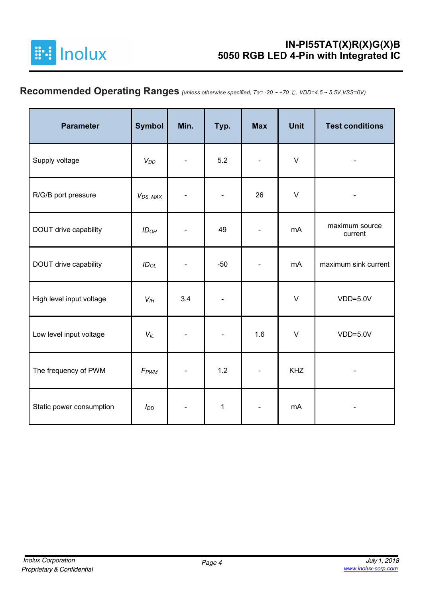

# **Recommended Operating Ranges** *(unless otherwise specified, Ta= -20 ~ +70* ℃*, VDD=4.5 ~ 5.5V,VSS=0V)*

| <b>Parameter</b>         | <b>Symbol</b>         | Min. | Typ.         | <b>Max</b>     | <b>Unit</b> | <b>Test conditions</b>    |
|--------------------------|-----------------------|------|--------------|----------------|-------------|---------------------------|
| Supply voltage           | $V_{DD}$              |      | 5.2          |                | $\vee$      |                           |
| R/G/B port pressure      | V <sub>DS</sub> , MAX |      |              | 26             | $\vee$      |                           |
| DOUT drive capability    | ID <sub>OH</sub>      | 49   |              |                |             | maximum source<br>current |
| DOUT drive capability    | $ID_{OL}$             |      | $-50$        |                | mA          | maximum sink current      |
| High level input voltage | $V_{IH}$              | 3.4  |              |                | $\vee$      | $VDD=5.0V$                |
| Low level input voltage  | $V_L$                 |      |              | 1.6            | $\vee$      | $VDD=5.0V$                |
| The frequency of PWM     | F <sub>PWM</sub>      |      | 1.2          | $\blacksquare$ | <b>KHZ</b>  |                           |
| Static power consumption | $I_{DD}$              |      | $\mathbf{1}$ |                | mA          |                           |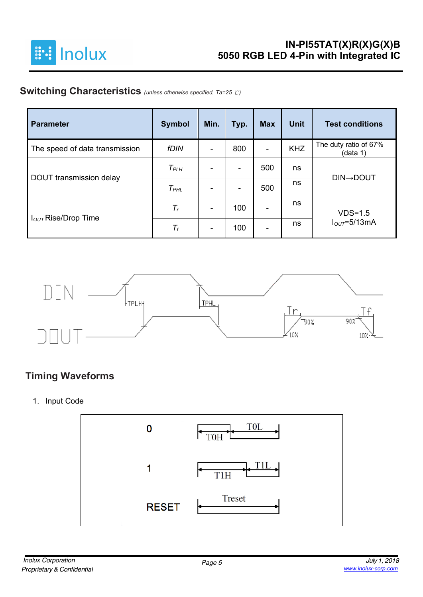

## **Switching Characteristics** *(unless otherwise specified, Ta=25* ℃*)*

| <b>Parameter</b>                | <b>Symbol</b>   | Min.                         | Typ. | <b>Max</b>               | <b>Unit</b> | <b>Test conditions</b>            |
|---------------------------------|-----------------|------------------------------|------|--------------------------|-------------|-----------------------------------|
| The speed of data transmission  | <b>fDIN</b>     | $\blacksquare$               | 800  | $\overline{\phantom{0}}$ | <b>KHZ</b>  | The duty ratio of 67%<br>(data 1) |
|                                 | $T_{PLH}$       | $\blacksquare$               |      | 500                      | ns          |                                   |
| DOUT transmission delay         | $T_{PHL}$       | ۰                            | ۰    | 500                      | ns          | <b>DIN→DOUT</b>                   |
|                                 | $T_r$           | $\blacksquare$               | 100  | $\overline{\phantom{0}}$ | ns          | $VDS=1.5$                         |
| I <sub>OUT</sub> Rise/Drop Time | $\mathcal{T}_f$ | $\qquad \qquad \blacksquare$ | 100  | -                        | ns          | $IOUT=5/13mA$                     |



### **Timing Waveforms**

1. Input Code

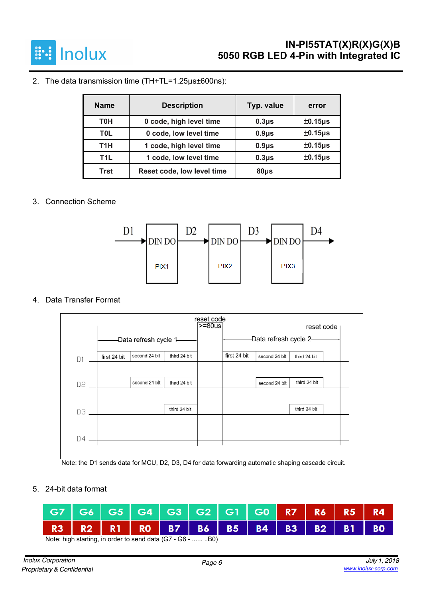

#### 2. The data transmission time (TH+TL=1.25µs±600ns):

| <b>Name</b>      | <b>Description</b>         | Typ. value | error                |
|------------------|----------------------------|------------|----------------------|
| тон              | 0 code, high level time    | $0.3\mu$ s | $±0.15\mu s$         |
| <b>TOL</b>       | 0 code, low level time     | $0.9\mu$ s | $±0.15\mu s$         |
| T1H              | 1 code, high level time    | $0.9\mu$ s | ±0.15 <sub>µ</sub> s |
| T <sub>1</sub> L | 1 code, low level time     | $0.3\mu$ s | $±0.15\mu s$         |
| Trst             | Reset code, low level time | $80µ$ s    |                      |

#### 3. Connection Scheme



#### 4. Data Transfer Format



Note: the D1 sends data for MCU, D2, D3, D4 for data forwarding automatic shaping cascade circuit.

5. 24-bit data format

| G7 G6 G5 G4 G3 G2 G1 G0 R7 R6 R5 R4                                                                                |  |  |  |  |  |  |
|--------------------------------------------------------------------------------------------------------------------|--|--|--|--|--|--|
| R3   R2   R1   R0   B7   B6   B5   B4   B3   B2   B1   B0                                                          |  |  |  |  |  |  |
| $\mathbf{A}$ and $\mathbf{B}$ and $\mathbf{A}$ and $\mathbf{B}$ and $\mathbf{A}$ and $\mathbf{B}$ and $\mathbf{B}$ |  |  |  |  |  |  |

Note: high starting, in order to send data (G7 - G6 - ...... ..B0)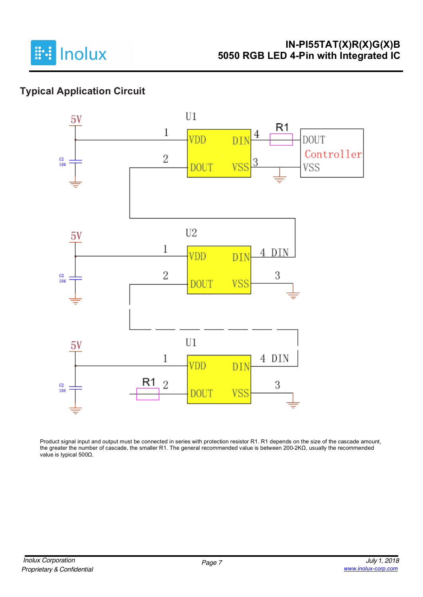

# **Typical Application Circuit**



Product signal input and output must be connected in series with protection resistor R1. R1 depends on the size of the cascade amount, the greater the number of cascade, the smaller R1. The general recommended value is between 200-2KΩ, usually the recommended value is typical 500Ω.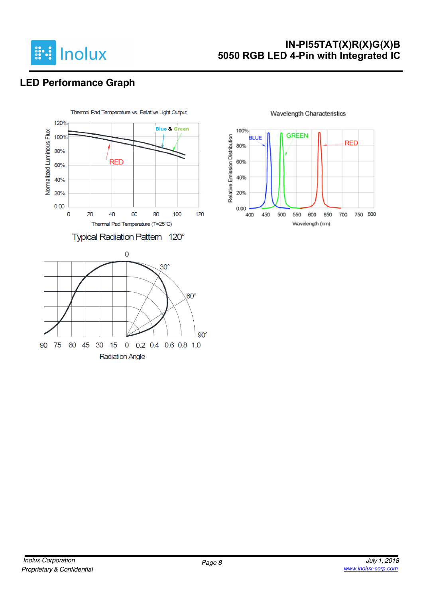

### **IN-PI55TAT(X)R(X)G(X)B 5050 RGB LED 4-Pin with Integrated IC**

# **LED Performance Graph**



100% **GREEN** Relative Emission Distribution **BLUE RED** 80% 60% 40% 20%  $0.00$ 750 800 400 450 500 550 600 650 700 Wavelength (nm)

#### **Wavelength Characteristics**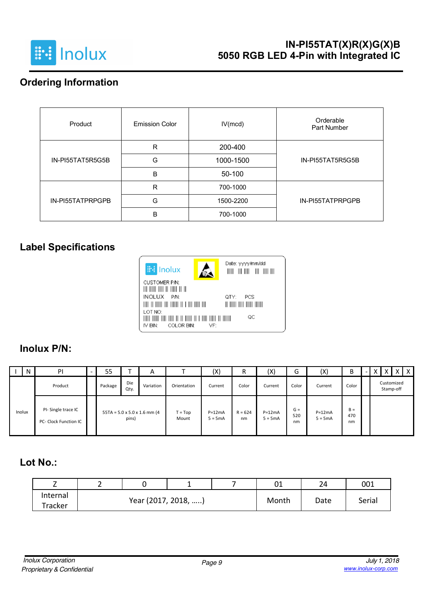

### **Ordering Information**

| Product          | <b>Emission Color</b> | IV(mcd)   | Orderable<br>Part Number |
|------------------|-----------------------|-----------|--------------------------|
|                  | R                     | 200-400   |                          |
| IN-PI55TAT5R5G5B | G                     | 1000-1500 | IN-PI55TAT5R5G5B         |
|                  | B                     | 50-100    |                          |
|                  | R                     | 700-1000  |                          |
| IN-PI55TATPRPGPB | G                     | 1500-2200 | IN-PI55TATPRPGPB         |
|                  | B                     | 700-1000  |                          |

### **Label Specifications**



### **Inolux P/N:**

|        | N | PI                                          | - | 55      |             | A                                        |                    | (X)                   | R               | $(\mathsf{X})$        | ∽<br>G             | (X)                   | B                  | $\overline{\phantom{0}}$ |                         | $\times$ 1 | $\mathsf{X}$ |
|--------|---|---------------------------------------------|---|---------|-------------|------------------------------------------|--------------------|-----------------------|-----------------|-----------------------|--------------------|-----------------------|--------------------|--------------------------|-------------------------|------------|--------------|
|        |   | Product                                     |   | Package | Die<br>Qty. | Variation                                | Orientation        | Current               | Color           | Current               | Color              | Current               | Color              |                          | Customized<br>Stamp-off |            |              |
| Inolux |   | PI-Single trace IC<br>PC- Clock Function IC |   |         | pins)       | $55TA = 5.0 \times 5.0 \times 1.6$ mm (4 | $T = Top$<br>Mount | $P=12mA$<br>$5 = 5mA$ | $R = 624$<br>nm | $P=12mA$<br>$5 = 5mA$ | $G =$<br>520<br>nm | $P=12mA$<br>$5 = 5mA$ | $B =$<br>470<br>nm |                          |                         |            |              |

### **Lot No.:**

| -        | - |                     | - | 01 | 24    | 001 |        |
|----------|---|---------------------|---|----|-------|-----|--------|
| Internal |   | Year (2017, 2018, ) |   |    | Month |     | Serial |
| Tracker  |   |                     |   |    | Date  |     |        |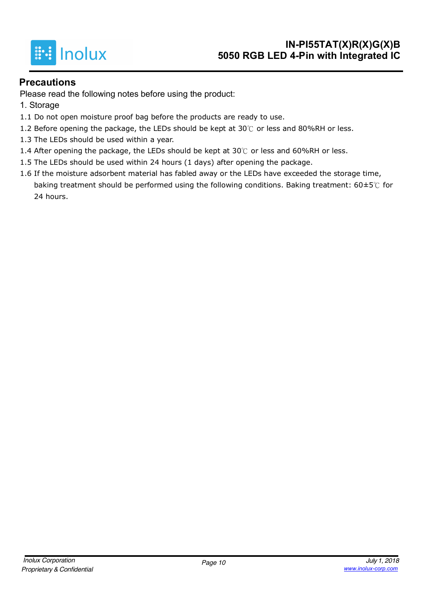

### **Precautions**

Please read the following notes before using the product:

- 1. Storage
- 1.1 Do not open moisture proof bag before the products are ready to use.
- 1.2 Before opening the package, the LEDs should be kept at 30 $°C$  or less and 80%RH or less.
- 1.3 The LEDs should be used within a year.
- 1.4 After opening the package, the LEDs should be kept at 30℃ or less and 60%RH or less.
- 1.5 The LEDs should be used within 24 hours (1 days) after opening the package.
- 1.6 If the moisture adsorbent material has fabled away or the LEDs have exceeded the storage time, baking treatment should be performed using the following conditions. Baking treatment:  $60\pm5\degree$  for 24 hours.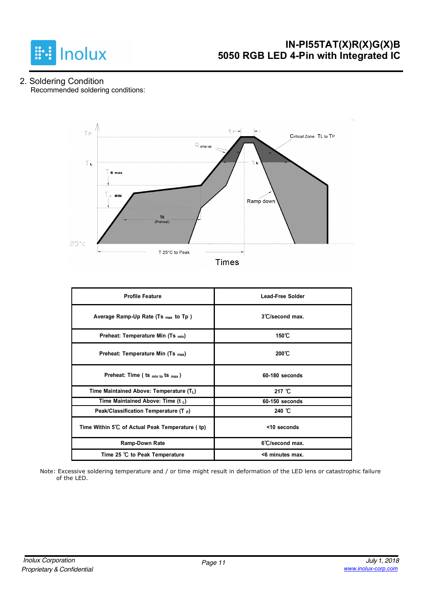

#### 2. Soldering Condition Recommended soldering conditions:



| <b>Profile Feature</b>                          | <b>Lead-Free Solder</b>   |
|-------------------------------------------------|---------------------------|
| Average Ramp-Up Rate (Ts max to Tp)             | $3^{\circ}$ C/second max. |
| Preheat: Temperature Min (Ts <sub>min</sub> )   | 150℃                      |
| Preheat: Temperature Min (Ts <sub>max</sub> )   | $200^{\circ}$ C           |
| Preheat: Time ( ts $_{min\ to}$ ts $_{max}$ )   | $60-180$ seconds          |
| Time Maintained Above: Temperature $(T_L)$      | 217 $°C$                  |
| Time Maintained Above: Time (t $_L$ )           | 60-150 seconds            |
| Peak/Classification Temperature (T P)           | 240 °C                    |
| Time Within 5°C of Actual Peak Temperature (tp) | $<$ 10 seconds            |
| <b>Ramp-Down Rate</b>                           | 6°C/second max.           |
| Time 25 ℃ to Peak Temperature                   | <6 minutes max.           |

Note: Excessive soldering temperature and / or time might result in deformation of the LED lens or catastrophic failure of the LED.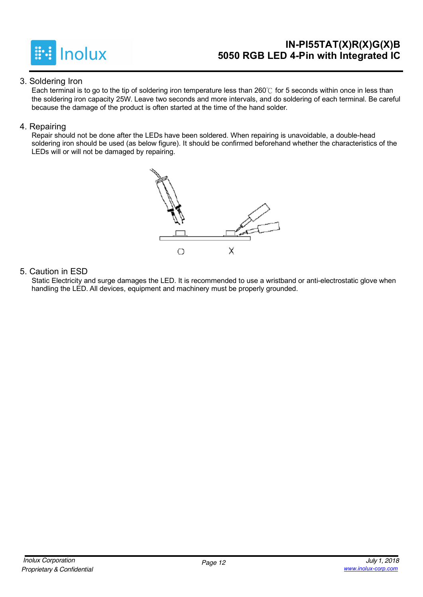

### **IN-PI55TAT(X)R(X)G(X)B 5050 RGB LED 4-Pin with Integrated IC**

#### 3. Soldering Iron

Each terminal is to go to the tip of soldering iron temperature less than 260℃ for 5 seconds within once in less than the soldering iron capacity 25W. Leave two seconds and more intervals, and do soldering of each terminal. Be careful because the damage of the product is often started at the time of the hand solder.

#### 4. Repairing

Repair should not be done after the LEDs have been soldered. When repairing is unavoidable, a double-head soldering iron should be used (as below figure). It should be confirmed beforehand whether the characteristics of the LEDs will or will not be damaged by repairing.



#### 5. Caution in ESD

Static Electricity and surge damages the LED. It is recommended to use a wristband or anti-electrostatic glove when handling the LED. All devices, equipment and machinery must be properly grounded.